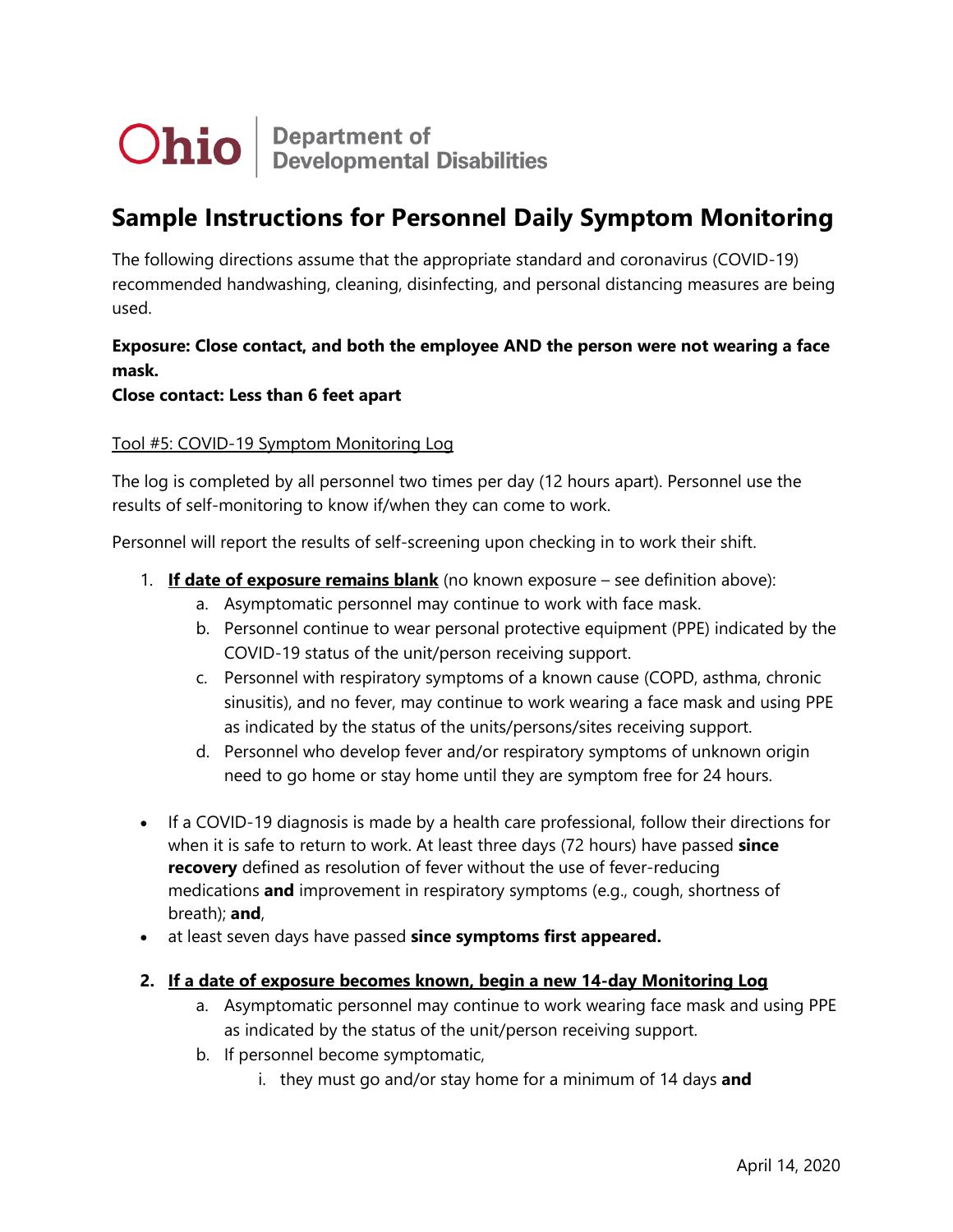

# **Sample Instructions for Personnel Daily Symptom Monitoring**

The following directions assume that the appropriate standard and coronavirus (COVID-19) recommended handwashing, cleaning, disinfecting, and personal distancing measures are being used.

## **Exposure: Close contact, and both the employee AND the person were not wearing a face mask.**

### **Close contact: Less than 6 feet apart**

### Tool #5: COVID-19 Symptom Monitoring Log

The log is completed by all personnel two times per day (12 hours apart). Personnel use the results of self-monitoring to know if/when they can come to work.

Personnel will report the results of self-screening upon checking in to work their shift.

- 1. **If date of exposure remains blank** (no known exposure see definition above):
	- a. Asymptomatic personnel may continue to work with face mask.
	- b. Personnel continue to wear personal protective equipment (PPE) indicated by the COVID-19 status of the unit/person receiving support.
	- c. Personnel with respiratory symptoms of a known cause (COPD, asthma, chronic sinusitis), and no fever, may continue to work wearing a face mask and using PPE as indicated by the status of the units/persons/sites receiving support.
	- d. Personnel who develop fever and/or respiratory symptoms of unknown origin need to go home or stay home until they are symptom free for 24 hours.
- If a COVID-19 diagnosis is made by a health care professional, follow their directions for when it is safe to return to work. At least three days (72 hours) have passed **since recovery** defined as resolution of fever without the use of fever-reducing medications **and** improvement in respiratory symptoms (e.g., cough, shortness of breath); **and**,
- at least seven days have passed **since symptoms first appeared.**

#### **2. If a date of exposure becomes known, begin a new 14-day Monitoring Log**

- a. Asymptomatic personnel may continue to work wearing face mask and using PPE as indicated by the status of the unit/person receiving support.
- b. If personnel become symptomatic,
	- i. they must go and/or stay home for a minimum of 14 days **and**